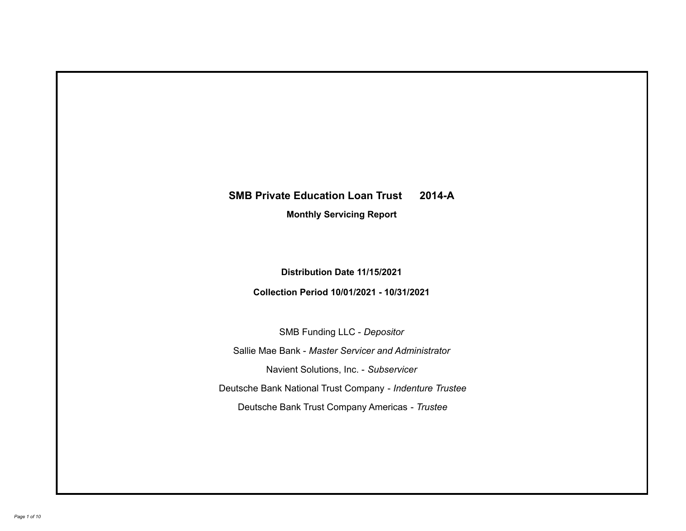# **SMB Private Education Loan Trust 2014-A**

**Monthly Servicing Report**

**Distribution Date 11/15/2021**

**Collection Period 10/01/2021 - 10/31/2021**

SMB Funding LLC - *Depositor*

Sallie Mae Bank - *Master Servicer and Administrator*

Navient Solutions, Inc. - *Subservicer*

Deutsche Bank National Trust Company - *Indenture Trustee*

Deutsche Bank Trust Company Americas - *Trustee*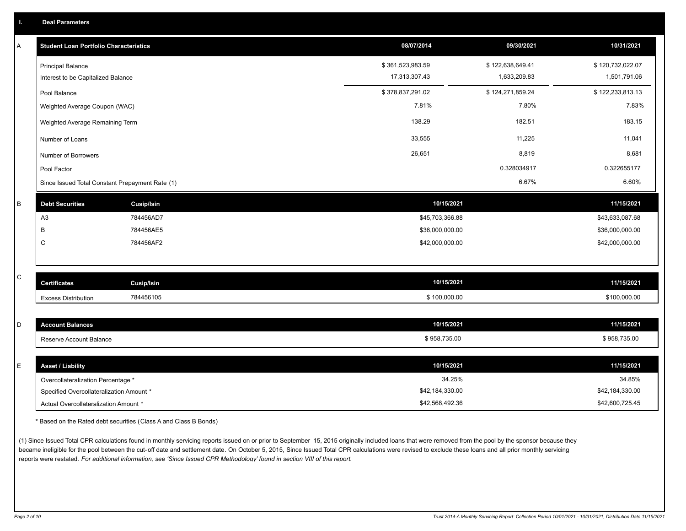| Α | <b>Student Loan Portfolio Characteristics</b>   |                   | 08/07/2014       | 09/30/2021       | 10/31/2021       |
|---|-------------------------------------------------|-------------------|------------------|------------------|------------------|
|   | <b>Principal Balance</b>                        |                   | \$361,523,983.59 | \$122,638,649.41 | \$120,732,022.07 |
|   | Interest to be Capitalized Balance              |                   | 17,313,307.43    | 1,633,209.83     | 1,501,791.06     |
|   | Pool Balance                                    |                   | \$378,837,291.02 | \$124,271,859.24 | \$122,233,813.13 |
|   | Weighted Average Coupon (WAC)                   |                   | 7.81%            | 7.80%            | 7.83%            |
|   | Weighted Average Remaining Term                 |                   | 138.29           | 182.51           | 183.15           |
|   | Number of Loans                                 |                   | 33,555           | 11,225           | 11,041           |
|   | Number of Borrowers                             |                   | 26,651           | 8,819            | 8,681            |
|   | Pool Factor                                     |                   |                  | 0.328034917      | 0.322655177      |
|   | Since Issued Total Constant Prepayment Rate (1) |                   |                  | 6.67%            | 6.60%            |
| B | <b>Debt Securities</b>                          | <b>Cusip/Isin</b> | 10/15/2021       |                  | 11/15/2021       |
|   | A <sub>3</sub>                                  | 784456AD7         | \$45,703,366.88  |                  | \$43,633,087.68  |
|   | B                                               | 784456AE5         | \$36,000,000.00  |                  | \$36,000,000.00  |
|   | $\mathsf{C}$                                    | 784456AF2         | \$42,000,000.00  |                  | \$42,000,000.00  |
|   |                                                 |                   |                  |                  |                  |
| C | <b>Certificates</b>                             | <b>Cusip/Isin</b> | 10/15/2021       |                  | 11/15/2021       |
|   |                                                 | 784456105         | \$100,000.00     |                  | \$100,000.00     |
|   | <b>Excess Distribution</b>                      |                   |                  |                  |                  |
| D | <b>Account Balances</b>                         |                   | 10/15/2021       |                  | 11/15/2021       |
|   | Reserve Account Balance                         |                   | \$958,735.00     |                  | \$958,735.00     |
|   |                                                 |                   |                  |                  |                  |
| E | <b>Asset / Liability</b>                        |                   | 10/15/2021       |                  | 11/15/2021       |
|   | Overcollateralization Percentage *              |                   | 34.25%           |                  | 34.85%           |
|   | Specified Overcollateralization Amount *        |                   | \$42,184,330.00  |                  | \$42,184,330.00  |

\* Based on the Rated debt securities (Class A and Class B Bonds)

(1) Since Issued Total CPR calculations found in monthly servicing reports issued on or prior to September 15, 2015 originally included loans that were removed from the pool by the sponsor because they became ineligible for the pool between the cut-off date and settlement date. On October 5, 2015, Since Issued Total CPR calculations were revised to exclude these loans and all prior monthly servicing reports were restated. *For additional information, see 'Since Issued CPR Methodology' found in section VIII of this report.*

Actual Overcollateralization Amount \* \$42,568,492.36

\$42,600,725.45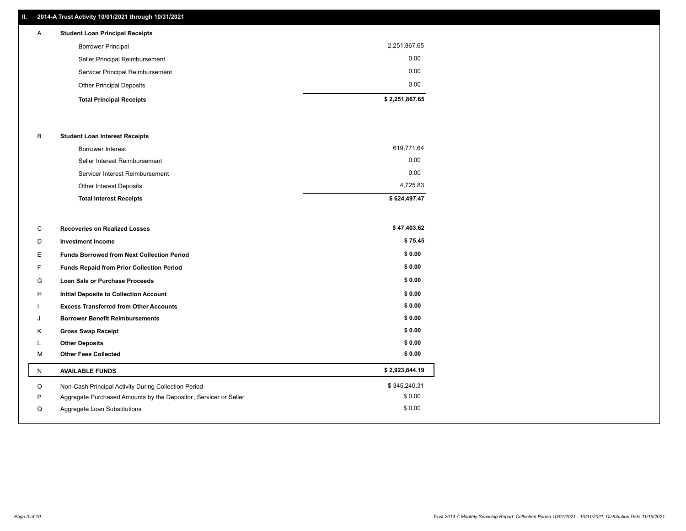### **II. 2014-A Trust Activity 10/01/2021 through 10/31/2021**

| $\mathsf{A}$ | <b>Student Loan Principal Receipts</b> |                |
|--------------|----------------------------------------|----------------|
|              | <b>Borrower Principal</b>              | 2,251,867.65   |
|              | Seller Principal Reimbursement         | 0.00           |
|              | Servicer Principal Reimbursement       | 0.00           |
|              | <b>Other Principal Deposits</b>        | 0.00           |
|              | <b>Total Principal Receipts</b>        | \$2,251,867.65 |

#### B **Student Loan Interest Receipts**

| <b>Total Interest Receipts</b>  | \$624,497.47 |
|---------------------------------|--------------|
| <b>Other Interest Deposits</b>  | 4,725.83     |
| Servicer Interest Reimbursement | 0.00         |
| Seller Interest Reimbursement   | 0.00         |
| <b>Borrower Interest</b>        | 619,771.64   |

| C | <b>Recoveries on Realized Losses</b>                             | \$47,403.62    |
|---|------------------------------------------------------------------|----------------|
| D | <b>Investment Income</b>                                         | \$75.45        |
| E | <b>Funds Borrowed from Next Collection Period</b>                | \$0.00         |
| F | Funds Repaid from Prior Collection Period                        | \$0.00         |
| G | <b>Loan Sale or Purchase Proceeds</b>                            | \$0.00         |
| H | <b>Initial Deposits to Collection Account</b>                    | \$0.00         |
|   | <b>Excess Transferred from Other Accounts</b>                    | \$0.00         |
| J | <b>Borrower Benefit Reimbursements</b>                           | \$0.00         |
| Κ | <b>Gross Swap Receipt</b>                                        | \$0.00         |
|   | <b>Other Deposits</b>                                            | \$0.00         |
| M | <b>Other Fees Collected</b>                                      | \$0.00         |
| N | <b>AVAILABLE FUNDS</b>                                           | \$2,923,844.19 |
| O | Non-Cash Principal Activity During Collection Period             | \$345,240.31   |
| P | Aggregate Purchased Amounts by the Depositor, Servicer or Seller | \$0.00         |
| Q | Aggregate Loan Substitutions                                     | \$0.00         |
|   |                                                                  |                |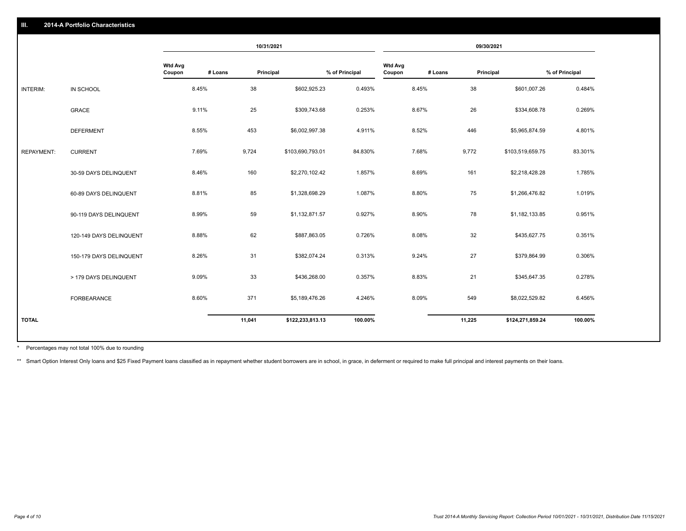|                   |                         | 10/31/2021               |         | 09/30/2021 |                  |                |                          |         |           |                  |                |
|-------------------|-------------------------|--------------------------|---------|------------|------------------|----------------|--------------------------|---------|-----------|------------------|----------------|
|                   |                         | <b>Wtd Avg</b><br>Coupon | # Loans | Principal  |                  | % of Principal | <b>Wtd Avg</b><br>Coupon | # Loans | Principal |                  | % of Principal |
| INTERIM:          | IN SCHOOL               |                          | 8.45%   | 38         | \$602,925.23     | 0.493%         |                          | 8.45%   | 38        | \$601,007.26     | 0.484%         |
|                   | <b>GRACE</b>            |                          | 9.11%   | 25         | \$309,743.68     | 0.253%         |                          | 8.67%   | 26        | \$334,608.78     | 0.269%         |
|                   | <b>DEFERMENT</b>        |                          | 8.55%   | 453        | \$6,002,997.38   | 4.911%         |                          | 8.52%   | 446       | \$5,965,874.59   | 4.801%         |
| <b>REPAYMENT:</b> | <b>CURRENT</b>          |                          | 7.69%   | 9,724      | \$103,690,793.01 | 84.830%        |                          | 7.68%   | 9,772     | \$103,519,659.75 | 83.301%        |
|                   | 30-59 DAYS DELINQUENT   |                          | 8.46%   | 160        | \$2,270,102.42   | 1.857%         |                          | 8.69%   | 161       | \$2,218,428.28   | 1.785%         |
|                   | 60-89 DAYS DELINQUENT   |                          | 8.81%   | 85         | \$1,328,698.29   | 1.087%         |                          | 8.80%   | 75        | \$1,266,476.82   | 1.019%         |
|                   | 90-119 DAYS DELINQUENT  |                          | 8.99%   | 59         | \$1,132,871.57   | 0.927%         |                          | 8.90%   | 78        | \$1,182,133.85   | 0.951%         |
|                   | 120-149 DAYS DELINQUENT |                          | 8.88%   | 62         | \$887,863.05     | 0.726%         |                          | 8.08%   | 32        | \$435,627.75     | 0.351%         |
|                   | 150-179 DAYS DELINQUENT |                          | 8.26%   | 31         | \$382,074.24     | 0.313%         |                          | 9.24%   | 27        | \$379,864.99     | 0.306%         |
|                   | > 179 DAYS DELINQUENT   |                          | 9.09%   | 33         | \$436,268.00     | 0.357%         |                          | 8.83%   | 21        | \$345,647.35     | 0.278%         |
|                   | FORBEARANCE             |                          | 8.60%   | 371        | \$5,189,476.26   | 4.246%         |                          | 8.09%   | 549       | \$8,022,529.82   | 6.456%         |
| <b>TOTAL</b>      |                         |                          |         | 11,041     | \$122,233,813.13 | 100.00%        |                          |         | 11,225    | \$124,271,859.24 | 100.00%        |
|                   |                         |                          |         |            |                  |                |                          |         |           |                  |                |

Percentages may not total 100% due to rounding \*

\*\* Smart Option Interest Only loans and \$25 Fixed Payment loans classified as in repayment whether student borrowers are in school, in grace, in deferment or required to make full principal and interest payments on their l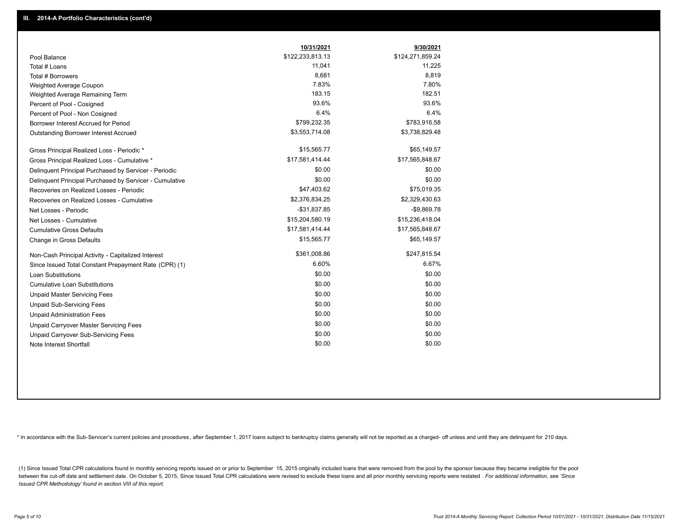|                                                         | 10/31/2021       | 9/30/2021        |
|---------------------------------------------------------|------------------|------------------|
| Pool Balance                                            | \$122,233,813.13 | \$124,271,859.24 |
| Total # Loans                                           | 11,041           | 11,225           |
| Total # Borrowers                                       | 8,681            | 8,819            |
| Weighted Average Coupon                                 | 7.83%            | 7.80%            |
| Weighted Average Remaining Term                         | 183.15           | 182.51           |
| Percent of Pool - Cosigned                              | 93.6%            | 93.6%            |
| Percent of Pool - Non Cosigned                          | 6.4%             | 6.4%             |
| Borrower Interest Accrued for Period                    | \$799,232.35     | \$783,916.58     |
| Outstanding Borrower Interest Accrued                   | \$3,553,714.08   | \$3,738,829.48   |
| Gross Principal Realized Loss - Periodic *              | \$15,565.77      | \$65,149.57      |
| Gross Principal Realized Loss - Cumulative *            | \$17,581,414.44  | \$17,565,848.67  |
| Delinquent Principal Purchased by Servicer - Periodic   | \$0.00           | \$0.00           |
| Delinquent Principal Purchased by Servicer - Cumulative | \$0.00           | \$0.00           |
| Recoveries on Realized Losses - Periodic                | \$47,403.62      | \$75,019.35      |
| Recoveries on Realized Losses - Cumulative              | \$2,376,834.25   | \$2,329,430.63   |
| Net Losses - Periodic                                   | $-$31,837.85$    | $-$9,869.78$     |
| Net Losses - Cumulative                                 | \$15,204,580.19  | \$15,236,418.04  |
| <b>Cumulative Gross Defaults</b>                        | \$17,581,414.44  | \$17,565,848.67  |
| Change in Gross Defaults                                | \$15,565.77      | \$65,149.57      |
| Non-Cash Principal Activity - Capitalized Interest      | \$361,008.86     | \$247,815.54     |
| Since Issued Total Constant Prepayment Rate (CPR) (1)   | 6.60%            | 6.67%            |
| <b>Loan Substitutions</b>                               | \$0.00           | \$0.00           |
| <b>Cumulative Loan Substitutions</b>                    | \$0.00           | \$0.00           |
| <b>Unpaid Master Servicing Fees</b>                     | \$0.00           | \$0.00           |
| <b>Unpaid Sub-Servicing Fees</b>                        | \$0.00           | \$0.00           |
| <b>Unpaid Administration Fees</b>                       | \$0.00           | \$0.00           |
| <b>Unpaid Carryover Master Servicing Fees</b>           | \$0.00           | \$0.00           |
| Unpaid Carryover Sub-Servicing Fees                     | \$0.00           | \$0.00           |
| Note Interest Shortfall                                 | \$0.00           | \$0.00           |

\* In accordance with the Sub-Servicer's current policies and procedures, after September 1, 2017 loans subject to bankruptcy claims generally will not be reported as a charged- off unless and until they are delinquent for

(1) Since Issued Total CPR calculations found in monthly servicing reports issued on or prior to September 15, 2015 originally included loans that were removed from the pool by the sponsor because they became ineligible fo between the cut-off date and settlement date. On October 5, 2015, Since Issued Total CPR calculations were revised to exclude these loans and all prior monthly servicing reports were restated . For additional information, *Issued CPR Methodology' found in section VIII of this report.*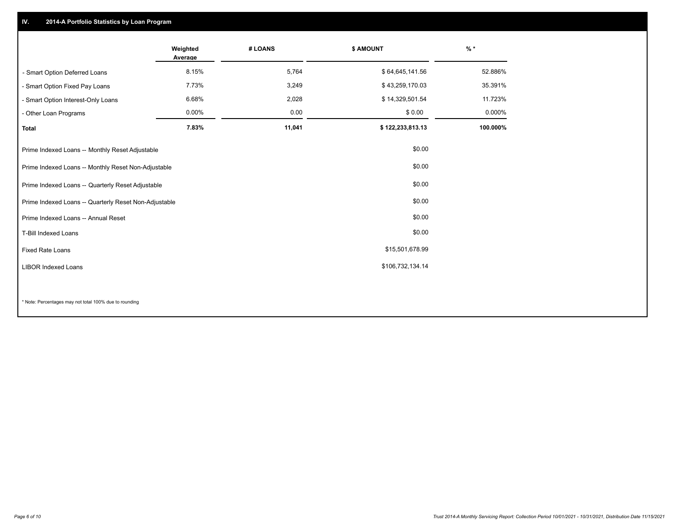## **IV. 2014-A Portfolio Statistics by Loan Program**

|                                                       | Weighted<br>Average | # LOANS | \$ AMOUNT        | $\frac{9}{6}$ * |
|-------------------------------------------------------|---------------------|---------|------------------|-----------------|
| - Smart Option Deferred Loans                         | 8.15%               | 5,764   | \$64,645,141.56  | 52.886%         |
| - Smart Option Fixed Pay Loans                        | 7.73%               | 3,249   | \$43,259,170.03  | 35.391%         |
| - Smart Option Interest-Only Loans                    | 6.68%               | 2,028   | \$14,329,501.54  | 11.723%         |
| - Other Loan Programs                                 | 0.00%               | 0.00    | \$0.00           | 0.000%          |
| <b>Total</b>                                          | 7.83%               | 11,041  | \$122,233,813.13 | 100.000%        |
| Prime Indexed Loans -- Monthly Reset Adjustable       |                     |         | \$0.00           |                 |
| Prime Indexed Loans -- Monthly Reset Non-Adjustable   |                     |         | \$0.00           |                 |
| Prime Indexed Loans -- Quarterly Reset Adjustable     |                     |         | \$0.00           |                 |
| Prime Indexed Loans -- Quarterly Reset Non-Adjustable |                     |         | \$0.00           |                 |
| Prime Indexed Loans -- Annual Reset                   |                     |         | \$0.00           |                 |
| T-Bill Indexed Loans                                  |                     |         | \$0.00           |                 |
| <b>Fixed Rate Loans</b>                               |                     |         | \$15,501,678.99  |                 |
| <b>LIBOR Indexed Loans</b>                            |                     |         | \$106,732,134.14 |                 |
|                                                       |                     |         |                  |                 |

\* Note: Percentages may not total 100% due to rounding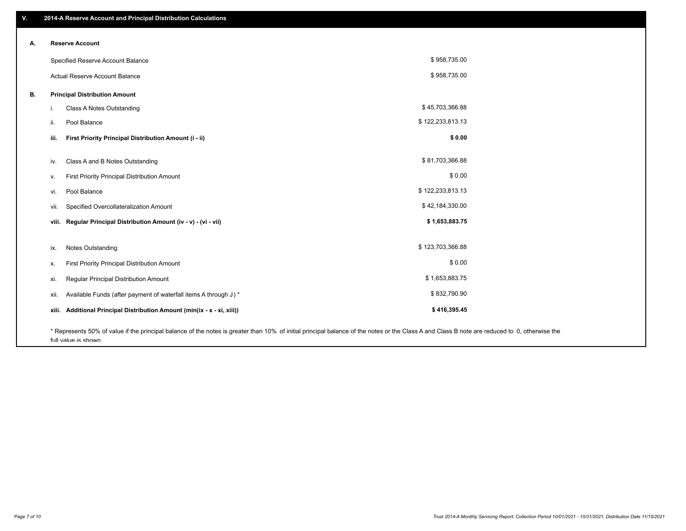| V. | 2014-A Reserve Account and Principal Distribution Calculations                                                                                                                                |                  |  |
|----|-----------------------------------------------------------------------------------------------------------------------------------------------------------------------------------------------|------------------|--|
| А. | <b>Reserve Account</b>                                                                                                                                                                        |                  |  |
|    |                                                                                                                                                                                               |                  |  |
|    | Specified Reserve Account Balance                                                                                                                                                             | \$958,735.00     |  |
|    | Actual Reserve Account Balance                                                                                                                                                                | \$958,735.00     |  |
| В. | <b>Principal Distribution Amount</b>                                                                                                                                                          |                  |  |
|    | Class A Notes Outstanding<br>i.                                                                                                                                                               | \$45,703,366.88  |  |
|    | Pool Balance<br>ii.                                                                                                                                                                           | \$122,233,813.13 |  |
|    | First Priority Principal Distribution Amount (i - ii)<br>iii.                                                                                                                                 | \$0.00           |  |
|    |                                                                                                                                                                                               |                  |  |
|    | Class A and B Notes Outstanding<br>iv.                                                                                                                                                        | \$81,703,366.88  |  |
|    | <b>First Priority Principal Distribution Amount</b><br>v.                                                                                                                                     | \$0.00           |  |
|    | Pool Balance<br>vi.                                                                                                                                                                           | \$122,233,813.13 |  |
|    | Specified Overcollateralization Amount<br>vii.                                                                                                                                                | \$42,184,330.00  |  |
|    | Regular Principal Distribution Amount (iv - v) - (vi - vii)<br>viii.                                                                                                                          | \$1,653,883.75   |  |
|    |                                                                                                                                                                                               |                  |  |
|    | Notes Outstanding<br>ix.                                                                                                                                                                      | \$123,703,366.88 |  |
|    | <b>First Priority Principal Distribution Amount</b><br>х.                                                                                                                                     | \$0.00           |  |
|    | Regular Principal Distribution Amount<br>xi.                                                                                                                                                  | \$1,653,883.75   |  |
|    | Available Funds (after payment of waterfall items A through J) *<br>xii.                                                                                                                      | \$832,790.90     |  |
|    | Additional Principal Distribution Amount (min(ix - x - xi, xiii))<br>xiii.                                                                                                                    | \$416,395.45     |  |
|    | * Represents 50% of value if the principal balance of the notes is greater than 10% of initial principal balance of the notes or the Class A and Class B note are reduced to 0, otherwise the |                  |  |

full value is shown.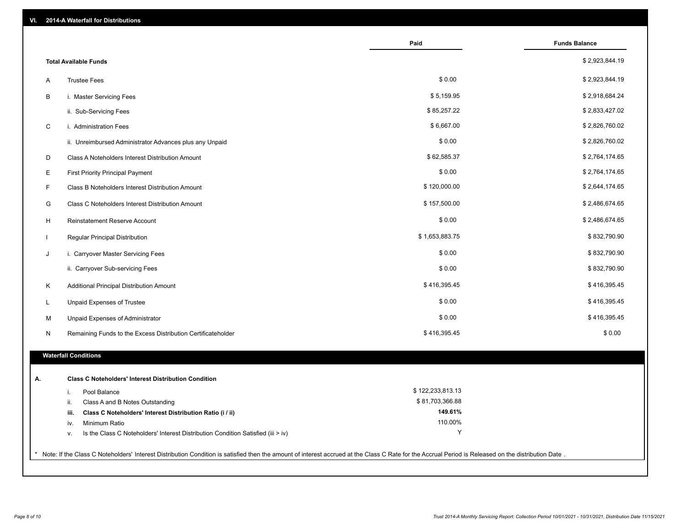| 2014-A Waterfall for Distributions<br>VI.     |                                                                                                                                                                                                       |                  |                      |
|-----------------------------------------------|-------------------------------------------------------------------------------------------------------------------------------------------------------------------------------------------------------|------------------|----------------------|
|                                               |                                                                                                                                                                                                       | Paid             | <b>Funds Balance</b> |
| <b>Total Available Funds</b>                  |                                                                                                                                                                                                       |                  | \$2,923,844.19       |
| <b>Trustee Fees</b><br>Α                      |                                                                                                                                                                                                       | \$0.00           | \$2,923,844.19       |
| В<br>i. Master Servicing Fees                 |                                                                                                                                                                                                       | \$5,159.95       | \$2,918,684.24       |
| ii. Sub-Servicing Fees                        |                                                                                                                                                                                                       | \$85,257.22      | \$2,833,427.02       |
| C<br>i. Administration Fees                   |                                                                                                                                                                                                       | \$6,667.00       | \$2,826,760.02       |
|                                               | ii. Unreimbursed Administrator Advances plus any Unpaid                                                                                                                                               | \$0.00           | \$2,826,760.02       |
| D                                             | Class A Noteholders Interest Distribution Amount                                                                                                                                                      | \$62,585.37      | \$2,764,174.65       |
| E<br><b>First Priority Principal Payment</b>  |                                                                                                                                                                                                       | \$0.00           | \$2,764,174.65       |
| F                                             | Class B Noteholders Interest Distribution Amount                                                                                                                                                      | \$120,000.00     | \$2,644,174.65       |
| G                                             | Class C Noteholders Interest Distribution Amount                                                                                                                                                      | \$157,500.00     | \$2,486,674.65       |
| H<br>Reinstatement Reserve Account            |                                                                                                                                                                                                       | \$0.00           | \$2,486,674.65       |
| Regular Principal Distribution                |                                                                                                                                                                                                       | \$1,653,883.75   | \$832,790.90         |
| i. Carryover Master Servicing Fees<br>J       |                                                                                                                                                                                                       | \$0.00           | \$832,790.90         |
| ii. Carryover Sub-servicing Fees              |                                                                                                                                                                                                       | \$0.00           | \$832,790.90         |
| Additional Principal Distribution Amount<br>K |                                                                                                                                                                                                       | \$416,395.45     | \$416,395.45         |
| Unpaid Expenses of Trustee<br>L               |                                                                                                                                                                                                       | \$0.00           | \$416,395.45         |
| М<br>Unpaid Expenses of Administrator         |                                                                                                                                                                                                       | \$0.00           | \$416,395.45         |
| N                                             | Remaining Funds to the Excess Distribution Certificateholder                                                                                                                                          | \$416,395.45     | \$0.00               |
| <b>Waterfall Conditions</b>                   |                                                                                                                                                                                                       |                  |                      |
|                                               |                                                                                                                                                                                                       |                  |                      |
| А.                                            | <b>Class C Noteholders' Interest Distribution Condition</b>                                                                                                                                           |                  |                      |
| Pool Balance<br>j.                            |                                                                                                                                                                                                       | \$122,233,813.13 |                      |
| Class A and B Notes Outstanding<br>ii.        |                                                                                                                                                                                                       | \$81,703,366.88  |                      |
| iii.                                          | Class C Noteholders' Interest Distribution Ratio (i / ii)                                                                                                                                             | 149.61%          |                      |
| Minimum Ratio<br>iv.                          |                                                                                                                                                                                                       | 110.00%<br>Y     |                      |
| v.                                            | Is the Class C Noteholders' Interest Distribution Condition Satisfied (iii > iv)                                                                                                                      |                  |                      |
|                                               | * Note: If the Class C Noteholders' Interest Distribution Condition is satisfied then the amount of interest accrued at the Class C Rate for the Accrual Period is Released on the distribution Date. |                  |                      |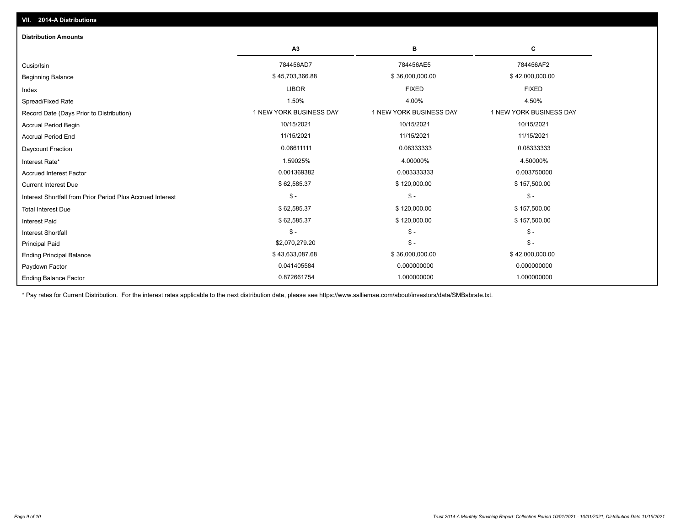| <b>Distribution Amounts</b>                                |                         |                         |                         |
|------------------------------------------------------------|-------------------------|-------------------------|-------------------------|
|                                                            | A3                      | в                       | c                       |
| Cusip/Isin                                                 | 784456AD7               | 784456AE5               | 784456AF2               |
| <b>Beginning Balance</b>                                   | \$45,703,366.88         | \$36,000,000.00         | \$42,000,000.00         |
| Index                                                      | <b>LIBOR</b>            | <b>FIXED</b>            | <b>FIXED</b>            |
| Spread/Fixed Rate                                          | 1.50%                   | 4.00%                   | 4.50%                   |
| Record Date (Days Prior to Distribution)                   | 1 NEW YORK BUSINESS DAY | 1 NEW YORK BUSINESS DAY | 1 NEW YORK BUSINESS DAY |
| <b>Accrual Period Begin</b>                                | 10/15/2021              | 10/15/2021              | 10/15/2021              |
| <b>Accrual Period End</b>                                  | 11/15/2021              | 11/15/2021              | 11/15/2021              |
| Daycount Fraction                                          | 0.08611111              | 0.08333333              | 0.08333333              |
| Interest Rate*                                             | 1.59025%                | 4.00000%                | 4.50000%                |
| <b>Accrued Interest Factor</b>                             | 0.001369382             | 0.003333333             | 0.003750000             |
| <b>Current Interest Due</b>                                | \$62,585.37             | \$120,000.00            | \$157,500.00            |
| Interest Shortfall from Prior Period Plus Accrued Interest | $\mathsf{\$}$ -         | $$ -$                   | $\mathcal{S}$ -         |
| <b>Total Interest Due</b>                                  | \$62,585.37             | \$120,000.00            | \$157,500.00            |
| <b>Interest Paid</b>                                       | \$62,585.37             | \$120,000.00            | \$157,500.00            |
| Interest Shortfall                                         | $\mathsf{\$}$ -         | $\mathsf{\$}$ -         | $$ -$                   |
| <b>Principal Paid</b>                                      | \$2,070,279.20          | $$ -$                   | $\mathsf{\$}$ -         |
| <b>Ending Principal Balance</b>                            | \$43,633,087.68         | \$36,000,000.00         | \$42,000,000.00         |
| Paydown Factor                                             | 0.041405584             | 0.000000000             | 0.000000000             |
| <b>Ending Balance Factor</b>                               | 0.872661754             | 1.000000000             | 1.000000000             |

\* Pay rates for Current Distribution. For the interest rates applicable to the next distribution date, please see https://www.salliemae.com/about/investors/data/SMBabrate.txt.

**VII. 2014-A Distributions**